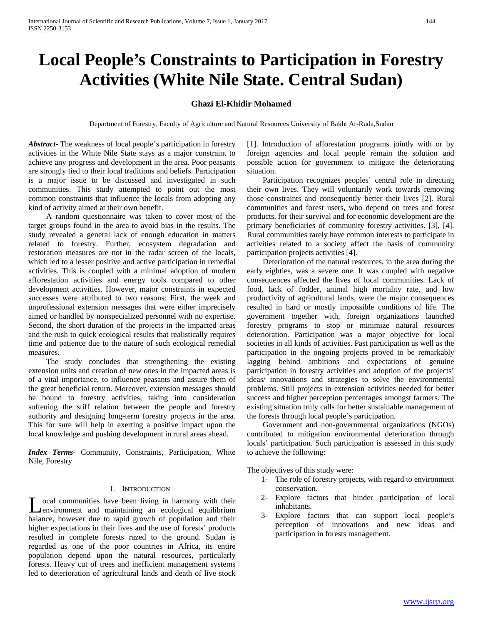# **Local People's Constraints to Participation in Forestry Activities (White Nile State. Central Sudan)**

# **Ghazi El-Khidir Mohamed**

Department of Forestry, Faculty of Agriculture and Natural Resources University of Bakht Ar-Ruda,Sudan

*Abstract***-** The weakness of local people's participation in forestry activities in the White Nile State stays as a major constraint to achieve any progress and development in the area. Poor peasants are strongly tied to their local traditions and beliefs. Participation is a major issue to be discussed and investigated in such communities. This study attempted to point out the most common constraints that influence the locals from adopting any kind of activity aimed at their own benefit.

 A random questionnaire was taken to cover most of the target groups found in the area to avoid bias in the results. The study revealed a general lack of enough education in matters related to forestry. Further, ecosystem degradation and restoration measures are not in the radar screen of the locals, which led to a lesser positive and active participation in remedial activities. This is coupled with a minimal adoption of modern afforestation activities and energy tools compared to other development activities. However, major constraints in expected successes were attributed to two reasons: First, the week and unprofessional extension messages that were either imprecisely aimed or handled by nonspecialized personnel with no expertise. Second, the short duration of the projects in the impacted areas and the rush to quick ecological results that realistically requires time and patience due to the nature of such ecological remedial measures.

 The study concludes that strengthening the existing extension units and creation of new ones in the impacted areas is of a vital importance, to influence peasants and assure them of the great beneficial return. Moreover, extension messages should be bound to forestry activities, taking into consideration softening the stiff relation between the people and forestry authority and designing long-term forestry projects in the area. This for sure will help in exerting a positive impact upon the local knowledge and pushing development in rural areas ahead.

*Index Terms*- Community, Constraints, Participation, White Nile, Forestry

## I. INTRODUCTION

ocal communities have been living in harmony with their Lead communities have been living in harmony with their<br>
lead of the maintaining and ecological equilibrium balance, however due to rapid growth of population and their higher expectations in their lives and the use of forests' products resulted in complete forests razed to the ground. Sudan is regarded as one of the poor countries in Africa, its entire population depend upon the natural resources, particularly forests. Heavy cut of trees and inefficient management systems led to deterioration of agricultural lands and death of live stock

[1]. Introduction of afforestation programs jointly with or by foreign agencies and local people remain the solution and possible action for government to mitigate the deteriorating situation.

 Participation recognizes peoples' central role in directing their own lives. They will voluntarily work towards removing those constraints and consequently better their lives [2]. Rural communities and forest users, who depend on trees and forest products, for their survival and for economic development are the primary beneficiaries of community forestry activities. [3], [4]. Rural communities rarely have common interests to participate in activities related to a society affect the basis of community participation projects activities [4].

 Deterioration of the natural resources, in the area during the early eighties, was a severe one. It was coupled with negative consequences affected the lives of local communities. Lack of food, lack of fodder, animal high mortality rate, and low productivity of agricultural lands, were the major consequences resulted in hard or mostly impossible conditions of life. The government together with, foreign organizations launched forestry programs to stop or minimize natural resources deterioration. Participation was a major objective for local societies in all kinds of activities. Past participation as well as the participation in the ongoing projects proved to be remarkably lagging behind ambitions and expectations of genuine participation in forestry activities and adoption of the projects' ideas/ innovations and strategies to solve the environmental problems. Still projects in extension activities needed for better success and higher perception percentages amongst farmers. The existing situation truly calls for better sustainable management of the forests through local people's participation.

 Government and non-governmental organizations (NGOs) contributed to mitigation environmental deterioration through locals' participation. Such participation is assessed in this study to achieve the following:

The objectives of this study were:

- 1- The role of forestry projects, with regard to environment conservation.
- 2- Explore factors that hinder participation of local inhabitants.
- 3- Explore factors that can support local people's perception of innovations and new ideas and participation in forests management.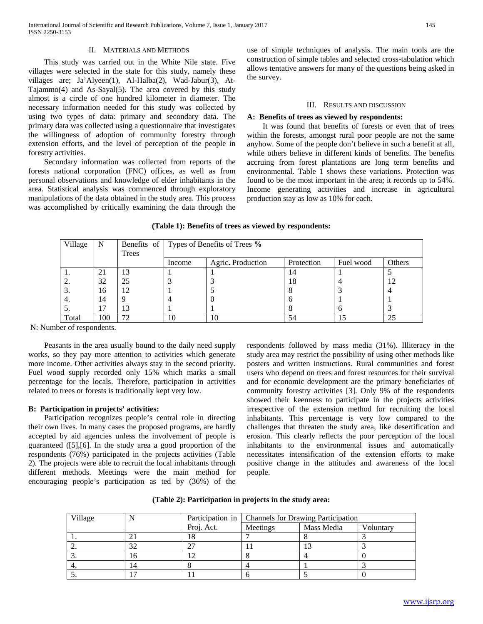## II. MATERIALS AND METHODS

 This study was carried out in the White Nile state. Five villages were selected in the state for this study, namely these villages are; Ja'Alyeen(1), Al-Halba(2), Wad-Jabur(3), At-Tajammo(4) and As-Sayal(5). The area covered by this study almost is a circle of one hundred kilometer in diameter. The necessary information needed for this study was collected by using two types of data: primary and secondary data. The primary data was collected using a questionnaire that investigates the willingness of adoption of community forestry through extension efforts, and the level of perception of the people in forestry activities.

 Secondary information was collected from reports of the forests national corporation (FNC) offices, as well as from personal observations and knowledge of elder inhabitants in the area. Statistical analysis was commenced through exploratory manipulations of the data obtained in the study area. This process was accomplished by critically examining the data through the use of simple techniques of analysis. The main tools are the construction of simple tables and selected cross-tabulation which allows tentative answers for many of the questions being asked in the survey.

#### III. RESULTS AND DISCUSSION

#### **A: Benefits of trees as viewed by respondents:**

 It was found that benefits of forests or even that of trees within the forests, amongst rural poor people are not the same anyhow. Some of the people don't believe in such a benefit at all, while others believe in different kinds of benefits. The benefits accruing from forest plantations are long term benefits and environmental. Table 1 shows these variations. Protection was found to be the most important in the area; it records up to 54%. Income generating activities and increase in agricultural production stay as low as 10% for each.

## **(Table 1): Benefits of trees as viewed by respondents:**

| Village         | N   |       | Benefits of Types of Benefits of Trees % |                   |            |           |        |  |
|-----------------|-----|-------|------------------------------------------|-------------------|------------|-----------|--------|--|
|                 |     | Trees |                                          |                   |            |           |        |  |
|                 |     |       | Income                                   | Agric. Production | Protection | Fuel wood | Others |  |
|                 | 21  | 13    |                                          |                   | 14         |           |        |  |
| 2.              | 32  | 25    |                                          |                   | 18         |           | 12     |  |
| $\mathfrak{I}.$ | 16  | 12    |                                          |                   |            |           |        |  |
| 4.              | 14  |       |                                          |                   |            |           |        |  |
| C.              |     | 13    |                                          |                   |            | O         |        |  |
| Total           | 100 | 72    | 10                                       | 10                | 54         | 15        | 25     |  |

N: Number of respondents.

 Peasants in the area usually bound to the daily need supply works, so they pay more attention to activities which generate more income. Other activities always stay in the second priority. Fuel wood supply recorded only 15% which marks a small percentage for the locals. Therefore, participation in activities related to trees or forests is traditionally kept very low.

#### **B: Participation in projects' activities:**

 Participation recognizes people's central role in directing their own lives. In many cases the proposed programs, are hardly accepted by aid agencies unless the involvement of people is guaranteed ([5],[6]. In the study area a good proportion of the respondents (76%) participated in the projects activities (Table 2). The projects were able to recruit the local inhabitants through different methods. Meetings were the main method for encouraging people's participation as ted by (36%) of the respondents followed by mass media (31%). Illiteracy in the study area may restrict the possibility of using other methods like posters and written instructions. Rural communities and forest users who depend on trees and forest resources for their survival and for economic development are the primary beneficiaries of community forestry activities [3]. Only 9% of the respondents showed their keenness to participate in the projects activities irrespective of the extension method for recruiting the local inhabitants. This percentage is very low compared to the challenges that threaten the study area, like desertification and erosion. This clearly reflects the poor perception of the local inhabitants to the environmental issues and automatically necessitates intensification of the extension efforts to make positive change in the attitudes and awareness of the local people.

**(Table 2): Participation in projects in the study area:**

| Village |    |            | Participation in   Channels for Drawing Participation |            |           |
|---------|----|------------|-------------------------------------------------------|------------|-----------|
|         |    | Proj. Act. | Meetings                                              | Mass Media | Voluntary |
|         |    | 18         |                                                       |            |           |
|         | 32 |            |                                                       |            |           |
|         | 10 |            |                                                       |            |           |
|         | 14 |            |                                                       |            |           |
|         | −  |            |                                                       |            |           |